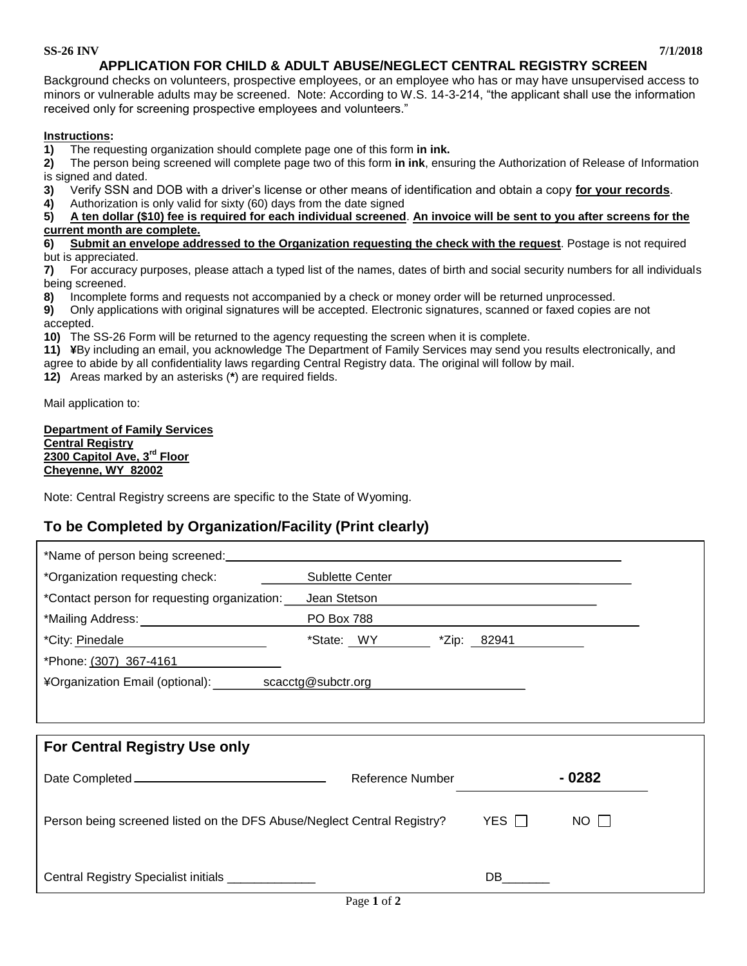#### **SS-26 INV 7/1/2018**

Background checks on volunteers, prospective employees, or an employee who has or may have unsupervised access to minors or vulnerable adults may be screened. Note: According to W.S. 14-3-214, "the applicant shall use the information received only for screening prospective employees and volunteers."

### **Instructions:**

**1)** The requesting organization should complete page one of this form **in ink.**

**2)** The person being screened will complete page two of this form **in ink**, ensuring the Authorization of Release of Information is signed and dated.

- **3)** Verify SSN and DOB with a driver's license or other means of identification and obtain a copy **for your records**.
- **4)** Authorization is only valid for sixty (60) days from the date signed

### **5) A ten dollar (\$10) fee is required for each individual screened**. **An invoice will be sent to you after screens for the current month are complete.**

**6) Submit an envelope addressed to the Organization requesting the check with the request**. Postage is not required but is appreciated.

**7)** For accuracy purposes, please attach a typed list of the names, dates of birth and social security numbers for all individuals being screened.

**8)** Incomplete forms and requests not accompanied by a check or money order will be returned unprocessed.

**9)** Only applications with original signatures will be accepted. Electronic signatures, scanned or faxed copies are not accepted.

**10)** The SS-26 Form will be returned to the agency requesting the screen when it is complete.

**11) ¥**By including an email, you acknowledge The Department of Family Services may send you results electronically, and

agree to abide by all confidentiality laws regarding Central Registry data. The original will follow by mail.

**12)** Areas marked by an asterisks (**\***) are required fields.

Mail application to:

**Department of Family Services Central Registry 2300 Capitol Ave, 3rd Floor Cheyenne, WY 82002**

Note: Central Registry screens are specific to the State of Wyoming.

## **To be Completed by Organization/Facility (Print clearly)**

| *Organization requesting check:                                         | Sublette Center   | and the control of the control of the control of the control of the control of the control of the control of the |             |
|-------------------------------------------------------------------------|-------------------|------------------------------------------------------------------------------------------------------------------|-------------|
| *Contact person for requesting organization:                            | Jean Stetson      |                                                                                                                  |             |
| *Mailing Address: _____________________________                         | <b>PO Box 788</b> | the contract of the contract of the contract of the contract of the contract of the contract of                  |             |
| *City: Pinedale                                                         | $*$ State: $WY$   | $*$ Zip: 82941                                                                                                   |             |
| *Phone: (307) 367-4161                                                  |                   |                                                                                                                  |             |
| ¥Organization Email (optional): scacctg@subctr.org                      |                   |                                                                                                                  |             |
|                                                                         |                   |                                                                                                                  |             |
|                                                                         |                   |                                                                                                                  |             |
|                                                                         |                   |                                                                                                                  |             |
| <b>For Central Registry Use only</b>                                    |                   |                                                                                                                  |             |
|                                                                         | Reference Number  |                                                                                                                  | - 0282      |
| Person being screened listed on the DFS Abuse/Neglect Central Registry? |                   | YES $\Box$                                                                                                       | $NO$ $\Box$ |